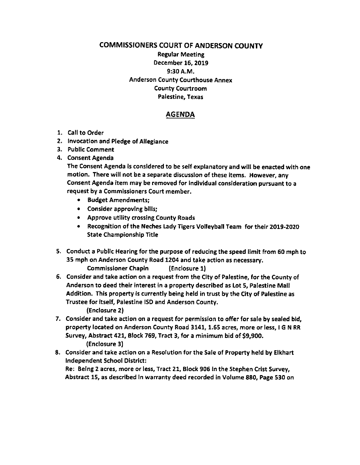COMMISSIONERS COURT OF ANDERSON COUNTY Regular Meetlng December 16, 2019 9:30 A.M. Anderson County Courthouse Annex County Courtroom Palestine, Texas

## AGENDA

- 1. Call to Order
- 2, lnvocation and Pledge of Allegiance
- 3. Public Comment
- 4. Consent Agenda

The Consent Agenda ls consldered to be self explanatory and will be enacted with one motion. There will not be a separate discusslon of these ltems. However, any Consent Agenda item may be removed for Individual consideration pursuant to a request by a Commlssioners Court member.

- . Budget Amendments;
- . Conslder approvlng bllls;
- . Approve utllity crosslng County Roads
- . Recognation of the Neches lady Tigers Volleyball Team for their 2O19-2020 State Championship Title
- 5. Conduct a Public Hearing for the purpose of reducing the speed limit from 60 mph to 35 mph on Anderson County Road 1204 and take action as necessary. Commissioner Chapin (Enclosure 1)
- 6. Consider and take action on a request from the CIty of Palestine, for the County of Anderson to deed their interest in a property described as Lot 5, Palestine Mall Addition. This property is currently being held in trust by the City of Palestine as Trustee for itself, Palestine ISD and Anderson County. (Enclosure 2l
- 7. Consider and take action on a request for permission to offer for sale by sealed bld, property located on Anderson County Road 3141, 1.55 acres, more or less, I G N RR Survey, Abstract 421, Block 769, Tract 3, for a minimum bid of 59,900. (Enclosure 3)
- 8, Consider and take action on a Resolution for the Sale of Property held by Elkhart Independent School Distrlct:

Re: Eelng 2 acres, more or less, Tract 21, Block 906 In the stephen Crist Survey, Abstract 15, as descrlbed ln warranty deed recorded in Volume 880, Page 530 on